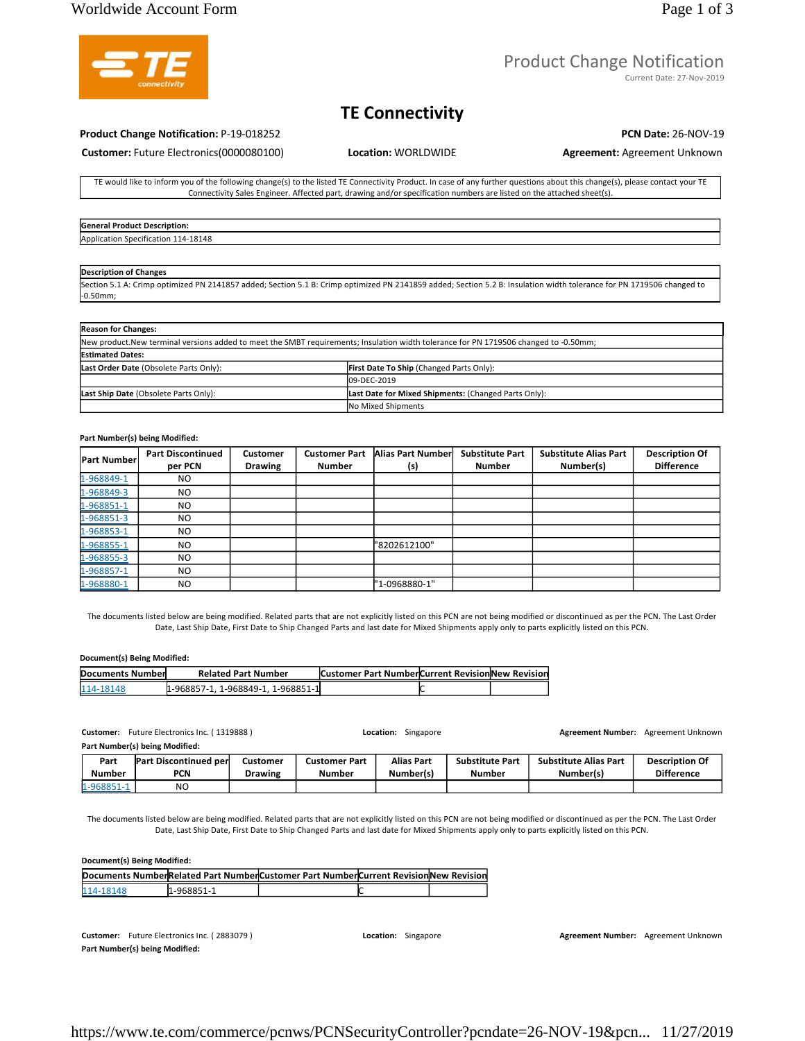# Product Change Notification

Current Date: 27-Nov-2019

# **TE Connectivity**

## **Product Change Notification:** P-19-018252 **PCN Date:** 26-NOV-19

**Customer:** Future Electronics(0000080100) **Location:** WORLDWIDE **Agreement:** Agreement Unknown

TE would like to inform you of the following change(s) to the listed TE Connectivity Product. In case of any further questions about this change(s), please contact your TE Connectivity Sales Engineer. Affected part, drawing and/or specification numbers are listed on the attached sheet(s).

## **General Product Description:**  Application Specification 114-18148

### **Description of Changes**

Section 5.1 A: Crimp optimized PN 2141857 added; Section 5.1 B: Crimp optimized PN 2141859 added; Section 5.2 B: Insulation width tolerance for PN 1719506 changed to -0.50mm;

| <b>Reason for Changes:</b>             |                                                                                                                                       |  |  |  |  |  |  |
|----------------------------------------|---------------------------------------------------------------------------------------------------------------------------------------|--|--|--|--|--|--|
|                                        | New product. New terminal versions added to meet the SMBT requirements; Insulation width tolerance for PN 1719506 changed to -0.50mm; |  |  |  |  |  |  |
| <b>Estimated Dates:</b>                |                                                                                                                                       |  |  |  |  |  |  |
| Last Order Date (Obsolete Parts Only): | <b>First Date To Ship (Changed Parts Only):</b>                                                                                       |  |  |  |  |  |  |
|                                        | 09-DEC-2019                                                                                                                           |  |  |  |  |  |  |
| Last Ship Date (Obsolete Parts Only):  | Last Date for Mixed Shipments: (Changed Parts Only):                                                                                  |  |  |  |  |  |  |
|                                        | No Mixed Shipments                                                                                                                    |  |  |  |  |  |  |

### **Part Number(s) being Modified:**

| <b>Part Number</b> | <b>Part Discontinued</b><br>per PCN | <b>Customer</b><br><b>Drawing</b> | <b>Customer Part</b><br><b>Number</b> | Alias Part Number<br>(s) | <b>Substitute Part</b><br><b>Number</b> | <b>Substitute Alias Part</b><br>Number(s) | <b>Description Of</b><br><b>Difference</b> |
|--------------------|-------------------------------------|-----------------------------------|---------------------------------------|--------------------------|-----------------------------------------|-------------------------------------------|--------------------------------------------|
| 1-968849-1         | NO.                                 |                                   |                                       |                          |                                         |                                           |                                            |
| 1-968849-3         | NO.                                 |                                   |                                       |                          |                                         |                                           |                                            |
| 1-968851-1         | NO.                                 |                                   |                                       |                          |                                         |                                           |                                            |
| 1-968851-3         | NO.                                 |                                   |                                       |                          |                                         |                                           |                                            |
| 1-968853-1         | NO.                                 |                                   |                                       |                          |                                         |                                           |                                            |
| 1-968855-1         | NO.                                 |                                   |                                       | "8202612100"             |                                         |                                           |                                            |
| 1-968855-3         | NO.                                 |                                   |                                       |                          |                                         |                                           |                                            |
| 1-968857-1         | NO.                                 |                                   |                                       |                          |                                         |                                           |                                            |
| 1-968880-1         | N <sub>O</sub>                      |                                   |                                       | "1-0968880-1"            |                                         |                                           |                                            |

The documents listed below are being modified. Related parts that are not explicitly listed on this PCN are not being modified or discontinued as per the PCN. The Last Order Date, Last Ship Date, First Date to Ship Changed Parts and last date for Mixed Shipments apply only to parts explicitly listed on this PCN.

### **Document(s) Being Modified:**

| Documents Number | <b>Related Part Number</b>       | <b>Customer Part NumberCurrent Revision New Revision</b> |  |
|------------------|----------------------------------|----------------------------------------------------------|--|
| 114-18148        | 1-968857-1.1-968849-1.1-968851-1 |                                                          |  |

**Customer:** Future Electronics Inc. ( 1319888 ) **Location:** Singapore **Agreement Number:** Agreement Unknown

**Part Number(s) being Modified:** 

|          | --                           |                |               |            |                        |                              |                       |
|----------|------------------------------|----------------|---------------|------------|------------------------|------------------------------|-----------------------|
| Part     | <b>Part Discontinued per</b> | Customer       | Customer Part | Alias Part | <b>Substitute Part</b> | <b>Substitute Alias Part</b> | <b>Description Of</b> |
| Number   | <b>PCN</b>                   | <b>Drawing</b> | <b>Number</b> | Number(s)  | Number                 | Number(s)                    | <b>Difference</b>     |
| 1-968851 | NC                           |                |               |            |                        |                              |                       |

The documents listed below are being modified. Related parts that are not explicitly listed on this PCN are not being modified or discontinued as per the PCN. The Last Order Date, Last Ship Date, First Date to Ship Changed Parts and last date for Mixed Shipments apply only to parts explicitly listed on this PCN.

### **Document(s) Being Modified:**

|           |             | Documents NumberRelated Part NumberCustomer Part NumberCurrent Revision New Revision |  |
|-----------|-------------|--------------------------------------------------------------------------------------|--|
| 114-18148 | 11-968851-1 |                                                                                      |  |

Customer: Future Electronics Inc. (2883079) **Location:** Singapore **Agreement Number:** Agreement Unknown Agreement Unknown **Part Number(s) being Modified:**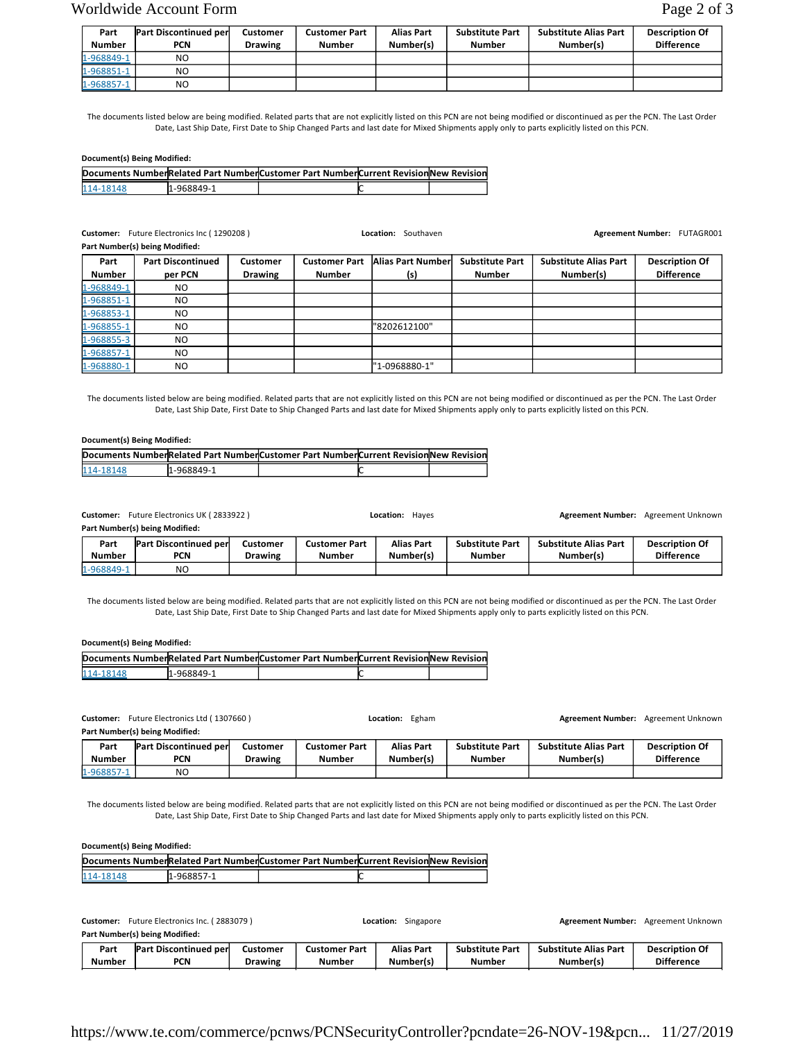# Worldwide Account Form Page 2 of 3

| Part          | <b>Part Discontinued per</b> | <b>Customer</b> | Customer Part | <b>Alias Part</b> | <b>Substitute Part</b> | <b>Substitute Alias Part</b> | <b>Description Of</b> |
|---------------|------------------------------|-----------------|---------------|-------------------|------------------------|------------------------------|-----------------------|
| <b>Number</b> | <b>PCN</b>                   | <b>Drawing</b>  | <b>Number</b> | Number(s)         | Number                 | Number(s)                    | <b>Difference</b>     |
| 1-968849-1    | NO.                          |                 |               |                   |                        |                              |                       |
| 1-968851-1    | NO                           |                 |               |                   |                        |                              |                       |
| 1-968857-1    | NO                           |                 |               |                   |                        |                              |                       |

The documents listed below are being modified. Related parts that are not explicitly listed on this PCN are not being modified or discontinued as per the PCN. The Last Order Date, Last Ship Date, First Date to Ship Changed Parts and last date for Mixed Shipments apply only to parts explicitly listed on this PCN.

### **Document(s) Being Modified:**

|           |            | Documents NumberRelated Part NumberCustomer Part NumberCurrent Revision New Revision |  |
|-----------|------------|--------------------------------------------------------------------------------------|--|
| 114-18148 | 1-968849-1 |                                                                                      |  |

**Customer:** Future Electronics Inc ( 1290208 ) **Location:** Southaven **Agreement Number: FUTAGR001 Agreement Number:** FUTAGR001

|                       | Part Number(s) being Modified:      |                            |                                       |                          |                                         |                                           |                                            |  |  |  |
|-----------------------|-------------------------------------|----------------------------|---------------------------------------|--------------------------|-----------------------------------------|-------------------------------------------|--------------------------------------------|--|--|--|
| Part<br><b>Number</b> | <b>Part Discontinued</b><br>per PCN | Customer<br><b>Drawing</b> | <b>Customer Part</b><br><b>Number</b> | Alias Part Number<br>(s) | <b>Substitute Part</b><br><b>Number</b> | <b>Substitute Alias Part</b><br>Number(s) | <b>Description Of</b><br><b>Difference</b> |  |  |  |
| 1-968849-1            | NO.                                 |                            |                                       |                          |                                         |                                           |                                            |  |  |  |
| 1-968851-1            | NO.                                 |                            |                                       |                          |                                         |                                           |                                            |  |  |  |
| 1-968853-1            | NO.                                 |                            |                                       |                          |                                         |                                           |                                            |  |  |  |
| 1-968855-1            | NO.                                 |                            |                                       | "8202612100"             |                                         |                                           |                                            |  |  |  |
| 1-968855-3            | NO.                                 |                            |                                       |                          |                                         |                                           |                                            |  |  |  |
| 1-968857-1            | NO.                                 |                            |                                       |                          |                                         |                                           |                                            |  |  |  |
| 1-968880-1            | NO.                                 |                            |                                       | "1-0968880-1"            |                                         |                                           |                                            |  |  |  |

The documents listed below are being modified. Related parts that are not explicitly listed on this PCN are not being modified or discontinued as per the PCN. The Last Order Date, Last Ship Date, First Date to Ship Changed Parts and last date for Mixed Shipments apply only to parts explicitly listed on this PCN.

### **Document(s) Being Modified:**

|           |            | Documents NumberRelated Part NumberCustomer Part NumberCurrent Revision New Revision |  |
|-----------|------------|--------------------------------------------------------------------------------------|--|
| 114-18148 | 1-968849-1 |                                                                                      |  |

**Customer:** Future Electronics UK (2833922 ) **Location: Hayes Metally Agreement Number:** Agreement Unknown **Part Number(s) being Modified: Part Number Part Discontinued per PCN Customer Drawing Customer Part Number Alias Part Number(s) Substitute Part Number Substitute Alias Part Number(s) Description Of Difference** 1-968849-1 NO

The documents listed below are being modified. Related parts that are not explicitly listed on this PCN are not being modified or discontinued as per the PCN. The Last Order Date, Last Ship Date, First Date to Ship Changed Parts and last date for Mixed Shipments apply only to parts explicitly listed on this PCN.

### **Document(s) Being Modified:**

|           |            | Documents NumberRelated Part NumberCustomer Part NumberCurrent Revision New Revision |  |
|-----------|------------|--------------------------------------------------------------------------------------|--|
| 114-18148 | 1-968849-1 |                                                                                      |  |

**Customer:** Future Electronics Ltd ( 1307660 ) **Location:** Egham **Agreement Number:** Agreement Unknown

**Part Number(s) being Modified:** 

| Part       | <b>Part Discontinued per</b> | Customer       | Customer Part | <b>Alias Part</b> | <b>Substitute Part</b> | <b>Substitute Alias Part</b> | <b>Description Of</b> |
|------------|------------------------------|----------------|---------------|-------------------|------------------------|------------------------------|-----------------------|
| Number     | <b>PCN</b>                   | <b>Drawing</b> | <b>Number</b> | Number(s)         | Number                 | Number(s)                    | <b>Difference</b>     |
| 1-968857-1 | NO                           |                |               |                   |                        |                              |                       |

The documents listed below are being modified. Related parts that are not explicitly listed on this PCN are not being modified or discontinued as per the PCN. The Last Order Date, Last Ship Date, First Date to Ship Changed Parts and last date for Mixed Shipments apply only to parts explicitly listed on this PCN.

| Document(s) Being Modified: |             |                                                                                      |  |  |  |  |  |  |  |
|-----------------------------|-------------|--------------------------------------------------------------------------------------|--|--|--|--|--|--|--|
|                             |             | Documents NumberRelated Part NumberCustomer Part NumberCurrent Revision New Revision |  |  |  |  |  |  |  |
| 114-18148                   | 11-968857-1 |                                                                                      |  |  |  |  |  |  |  |

| Future Electronics Inc. (2883079)<br>Customer: |               |                       | Singapore<br>Location: |               |                   | <b>Agreement Number:</b> | Agreement Unknown            |                       |
|------------------------------------------------|---------------|-----------------------|------------------------|---------------|-------------------|--------------------------|------------------------------|-----------------------|
| Part Number(s) being Modified:                 |               |                       |                        |               |                   |                          |                              |                       |
|                                                | Part          | Part Discontinued per | <b>Customer</b>        | Customer Part | <b>Alias Part</b> | <b>Substitute Part</b>   | <b>Substitute Alias Part</b> | <b>Description Of</b> |
|                                                | <b>Number</b> | PCN                   | <b>Drawing</b>         | Number        | Number(s)         | Number                   | Number(s)                    | <b>Difference</b>     |

https://www.te.com/commerce/pcnws/PCNSecurityController?pcndate=26-NOV-19&pcn... 11/27/2019